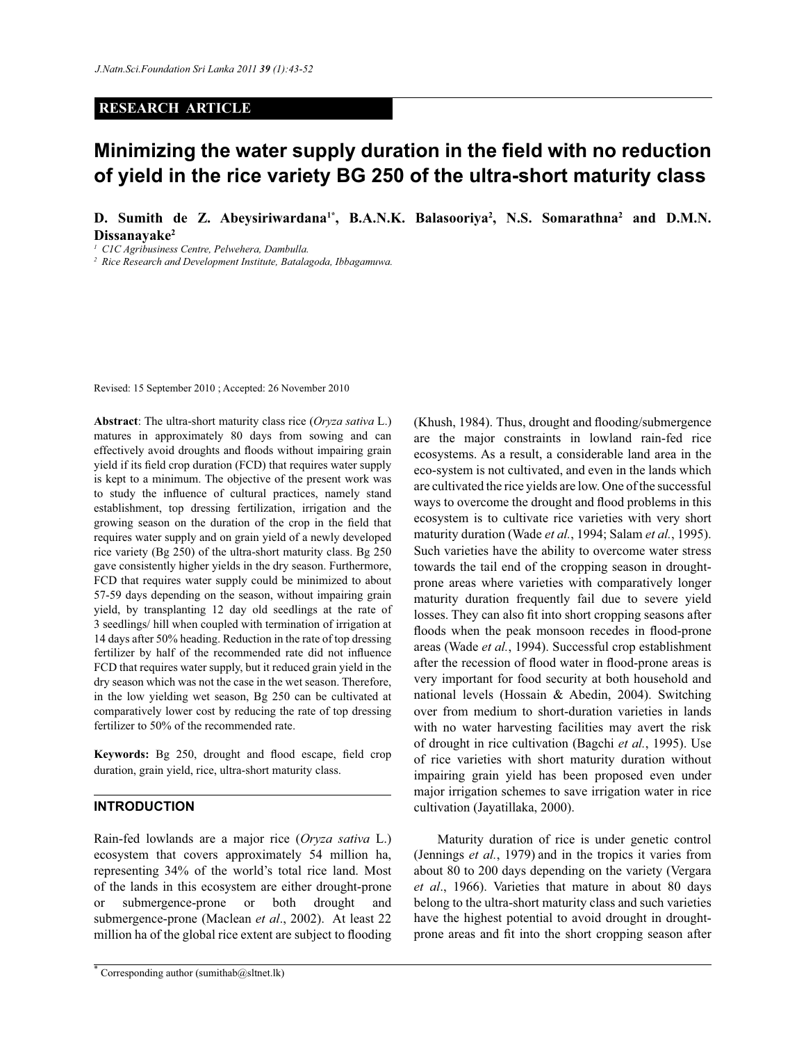## **RESEARCH ARTICLE**

# **Minimizing the water supply duration in the field with no reduction of yield in the rice variety BG 250 of the ultra-short maturity class**

**D. Sumith de Z. Abeysiriwardana1\*, B.A.N.K. Balasooriya<sup>2</sup> , N.S. Somarathna<sup>2</sup> and D.M.N. Dissanayake<sup>2</sup>**

*<sup>1</sup>C1C Agribusiness Centre, Pelwehera, Dambulla.*

*2 Rice Research and Development Institute, Batalagoda, Ibbagamuwa.*

Revised: 15 September 2010 ; Accepted: 26 November 2010

**Abstract**: The ultra-short maturity class rice (*Oryza sativa* L.) matures in approximately 80 days from sowing and can effectively avoid droughts and floods without impairing grain yield if its field crop duration (FCD) that requires water supply is kept to a minimum. The objective of the present work was to study the influence of cultural practices, namely stand establishment, top dressing fertilization, irrigation and the growing season on the duration of the crop in the field that requires water supply and on grain yield of a newly developed rice variety (Bg 250) of the ultra-short maturity class. Bg 250 gave consistently higher yields in the dry season. Furthermore, FCD that requires water supply could be minimized to about 57-59 days depending on the season, without impairing grain yield, by transplanting 12 day old seedlings at the rate of 3 seedlings/ hill when coupled with termination of irrigation at 14 days after 50% heading. Reduction in the rate of top dressing fertilizer by half of the recommended rate did not influence FCD that requires water supply, but it reduced grain yield in the dry season which was not the case in the wet season. Therefore, in the low yielding wet season, Bg 250 can be cultivated at comparatively lower cost by reducing the rate of top dressing fertilizer to 50% of the recommended rate.

**Keywords:** Bg 250, drought and flood escape, field crop duration, grain yield, rice, ultra-short maturity class.

## **INTRODUCTION**

Rain-fed lowlands are a major rice (*Oryza sativa* L.) ecosystem that covers approximately 54 million ha, representing 34% of the world's total rice land. Most of the lands in this ecosystem are either drought-prone or submergence-prone or both drought and submergence-prone (Maclean *et al*., 2002). At least 22 million ha of the global rice extent are subject to flooding (Khush, 1984). Thus, drought and flooding/submergence are the major constraints in lowland rain-fed rice ecosystems. As a result, a considerable land area in the eco-system is not cultivated, and even in the lands which are cultivated the rice yields are low. One of the successful ways to overcome the drought and flood problems in this ecosystem is to cultivate rice varieties with very short maturity duration (Wade *et al.*, 1994; Salam *et al.*, 1995). Such varieties have the ability to overcome water stress towards the tail end of the cropping season in droughtprone areas where varieties with comparatively longer maturity duration frequently fail due to severe yield losses. They can also fit into short cropping seasons after floods when the peak monsoon recedes in flood-prone areas (Wade *et al.*, 1994). Successful crop establishment after the recession of flood water in flood-prone areas is very important for food security at both household and national levels (Hossain & Abedin, 2004). Switching over from medium to short-duration varieties in lands with no water harvesting facilities may avert the risk of drought in rice cultivation (Bagchi *et al.*, 1995). Use of rice varieties with short maturity duration without impairing grain yield has been proposed even under major irrigation schemes to save irrigation water in rice cultivation (Jayatillaka, 2000).

 Maturity duration of rice is under genetic control (Jennings *et al.*, 1979) and in the tropics it varies from about 80 to 200 days depending on the variety (Vergara *et al*., 1966). Varieties that mature in about 80 days belong to the ultra-short maturity class and such varieties have the highest potential to avoid drought in droughtprone areas and fit into the short cropping season after

<sup>\*</sup> Corresponding author (sumithab $@s$ ltnet.lk)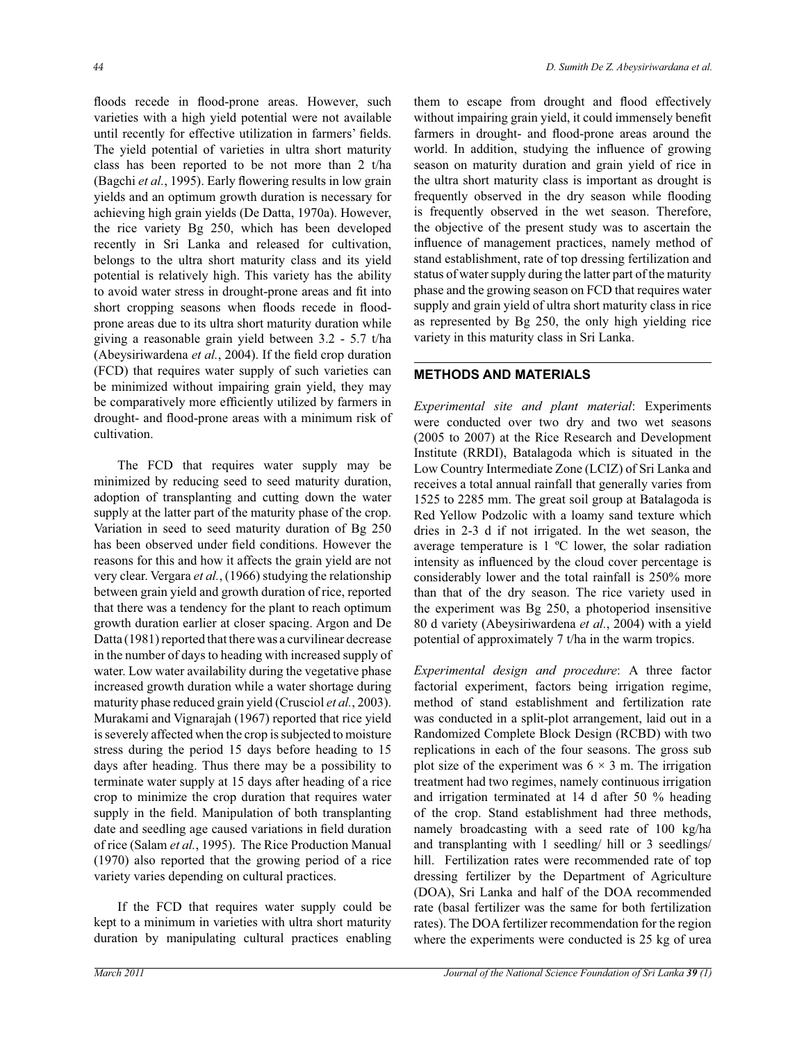floods recede in flood-prone areas. However, such varieties with a high yield potential were not available until recently for effective utilization in farmers' fields. The yield potential of varieties in ultra short maturity class has been reported to be not more than 2 t/ha (Bagchi *et al.*, 1995). Early flowering results in low grain yields and an optimum growth duration is necessary for achieving high grain yields (De Datta, 1970a). However, the rice variety Bg 250, which has been developed recently in Sri Lanka and released for cultivation, belongs to the ultra short maturity class and its yield potential is relatively high. This variety has the ability to avoid water stress in drought-prone areas and fit into short cropping seasons when floods recede in floodprone areas due to its ultra short maturity duration while giving a reasonable grain yield between 3.2 - 5.7 t/ha (Abeysiriwardena *et al.*, 2004). If the field crop duration (FCD) that requires water supply of such varieties can be minimized without impairing grain yield, they may be comparatively more efficiently utilized by farmers in drought- and flood-prone areas with a minimum risk of cultivation.

 The FCD that requires water supply may be minimized by reducing seed to seed maturity duration, adoption of transplanting and cutting down the water supply at the latter part of the maturity phase of the crop. Variation in seed to seed maturity duration of Bg 250 has been observed under field conditions. However the reasons for this and how it affects the grain yield are not very clear. Vergara *et al.*, (1966) studying the relationship between grain yield and growth duration of rice, reported that there was a tendency for the plant to reach optimum growth duration earlier at closer spacing. Argon and De Datta (1981) reported that there was a curvilinear decrease in the number of days to heading with increased supply of water. Low water availability during the vegetative phase increased growth duration while a water shortage during maturity phase reduced grain yield (Crusciol *et al.*, 2003). Murakami and Vignarajah (1967) reported that rice yield is severely affected when the crop is subjected to moisture stress during the period 15 days before heading to 15 days after heading. Thus there may be a possibility to terminate water supply at 15 days after heading of a rice crop to minimize the crop duration that requires water supply in the field. Manipulation of both transplanting date and seedling age caused variations in field duration of rice (Salam *et al.*, 1995). The Rice Production Manual (1970) also reported that the growing period of a rice variety varies depending on cultural practices.

 If the FCD that requires water supply could be kept to a minimum in varieties with ultra short maturity duration by manipulating cultural practices enabling them to escape from drought and flood effectively without impairing grain yield, it could immensely benefit farmers in drought- and flood-prone areas around the world. In addition, studying the influence of growing season on maturity duration and grain yield of rice in the ultra short maturity class is important as drought is frequently observed in the dry season while flooding is frequently observed in the wet season. Therefore, the objective of the present study was to ascertain the influence of management practices, namely method of stand establishment, rate of top dressing fertilization and status of water supply during the latter part of the maturity phase and the growing season on FCD that requires water supply and grain yield of ultra short maturity class in rice as represented by Bg 250, the only high yielding rice variety in this maturity class in Sri Lanka.

#### **METHODS AND MATERIALS**

*Experimental site and plant material*: Experiments were conducted over two dry and two wet seasons (2005 to 2007) at the Rice Research and Development Institute (RRDI), Batalagoda which is situated in the Low Country Intermediate Zone (LCIZ) of Sri Lanka and receives a total annual rainfall that generally varies from 1525 to 2285 mm. The great soil group at Batalagoda is Red Yellow Podzolic with a loamy sand texture which dries in 2-3 d if not irrigated. In the wet season, the average temperature is 1 ºC lower, the solar radiation intensity as influenced by the cloud cover percentage is considerably lower and the total rainfall is 250% more than that of the dry season. The rice variety used in the experiment was Bg 250, a photoperiod insensitive 80 d variety (Abeysiriwardena *et al.*, 2004) with a yield potential of approximately 7 t/ha in the warm tropics.

*Experimental design and procedure*: A three factor factorial experiment, factors being irrigation regime, method of stand establishment and fertilization rate was conducted in a split-plot arrangement, laid out in a Randomized Complete Block Design (RCBD) with two replications in each of the four seasons. The gross sub plot size of the experiment was  $6 \times 3$  m. The irrigation treatment had two regimes, namely continuous irrigation and irrigation terminated at 14 d after 50 % heading of the crop. Stand establishment had three methods, namely broadcasting with a seed rate of 100 kg/ha and transplanting with 1 seedling/ hill or 3 seedlings/ hill. Fertilization rates were recommended rate of top dressing fertilizer by the Department of Agriculture (DOA), Sri Lanka and half of the DOA recommended rate (basal fertilizer was the same for both fertilization rates). The DOA fertilizer recommendation for the region where the experiments were conducted is 25 kg of urea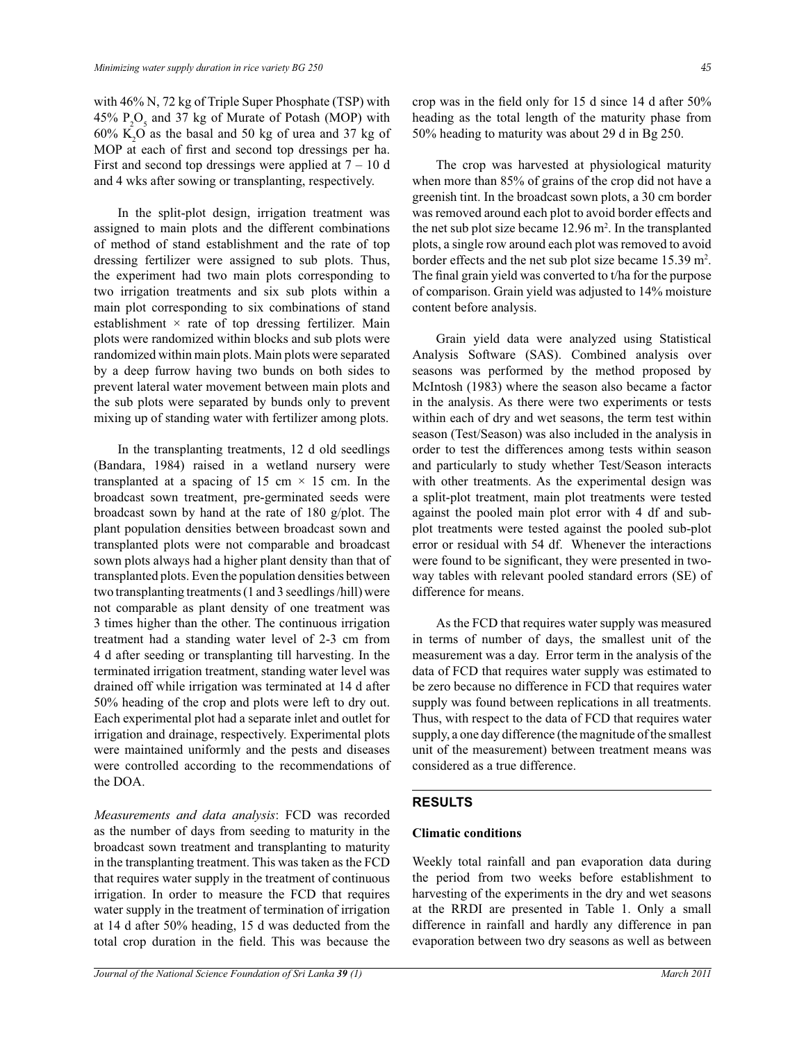with 46% N, 72 kg of Triple Super Phosphate (TSP) with 45%  $P_2O_5$  and 37 kg of Murate of Potash (MOP) with  $60\%$  K<sub>2</sub>O as the basal and 50 kg of urea and 37 kg of MOP at each of first and second top dressings per ha. First and second top dressings were applied at  $7 - 10$  d and 4 wks after sowing or transplanting, respectively.

 In the split-plot design, irrigation treatment was assigned to main plots and the different combinations of method of stand establishment and the rate of top dressing fertilizer were assigned to sub plots. Thus, the experiment had two main plots corresponding to two irrigation treatments and six sub plots within a main plot corresponding to six combinations of stand establishment  $\times$  rate of top dressing fertilizer. Main plots were randomized within blocks and sub plots were randomized within main plots. Main plots were separated by a deep furrow having two bunds on both sides to prevent lateral water movement between main plots and the sub plots were separated by bunds only to prevent mixing up of standing water with fertilizer among plots.

 In the transplanting treatments, 12 d old seedlings (Bandara, 1984) raised in a wetland nursery were transplanted at a spacing of 15 cm  $\times$  15 cm. In the broadcast sown treatment, pre-germinated seeds were broadcast sown by hand at the rate of 180 g/plot. The plant population densities between broadcast sown and transplanted plots were not comparable and broadcast sown plots always had a higher plant density than that of transplanted plots. Even the population densities between two transplanting treatments (1 and 3 seedlings /hill) were not comparable as plant density of one treatment was 3 times higher than the other. The continuous irrigation treatment had a standing water level of 2-3 cm from 4 d after seeding or transplanting till harvesting. In the terminated irrigation treatment, standing water level was drained off while irrigation was terminated at 14 d after 50% heading of the crop and plots were left to dry out. Each experimental plot had a separate inlet and outlet for irrigation and drainage, respectively. Experimental plots were maintained uniformly and the pests and diseases were controlled according to the recommendations of the DOA.

*Measurements and data analysis*: FCD was recorded as the number of days from seeding to maturity in the broadcast sown treatment and transplanting to maturity in the transplanting treatment. This was taken as the FCD that requires water supply in the treatment of continuous irrigation. In order to measure the FCD that requires water supply in the treatment of termination of irrigation at 14 d after 50% heading, 15 d was deducted from the total crop duration in the field. This was because the crop was in the field only for 15 d since 14 d after 50% heading as the total length of the maturity phase from 50% heading to maturity was about 29 d in Bg 250.

 The crop was harvested at physiological maturity when more than 85% of grains of the crop did not have a greenish tint. In the broadcast sown plots, a 30 cm border was removed around each plot to avoid border effects and the net sub plot size became 12.96 m<sup>2</sup>. In the transplanted plots, a single row around each plot was removed to avoid border effects and the net sub plot size became 15.39 m<sup>2</sup> . The final grain yield was converted to t/ha for the purpose of comparison. Grain yield was adjusted to 14% moisture content before analysis.

 Grain yield data were analyzed using Statistical Analysis Software (SAS). Combined analysis over seasons was performed by the method proposed by McIntosh (1983) where the season also became a factor in the analysis. As there were two experiments or tests within each of dry and wet seasons, the term test within season (Test/Season) was also included in the analysis in order to test the differences among tests within season and particularly to study whether Test/Season interacts with other treatments. As the experimental design was a split-plot treatment, main plot treatments were tested against the pooled main plot error with 4 df and subplot treatments were tested against the pooled sub-plot error or residual with 54 df. Whenever the interactions were found to be significant, they were presented in twoway tables with relevant pooled standard errors (SE) of difference for means.

 As the FCD that requires water supply was measured in terms of number of days, the smallest unit of the measurement was a day. Error term in the analysis of the data of FCD that requires water supply was estimated to be zero because no difference in FCD that requires water supply was found between replications in all treatments. Thus, with respect to the data of FCD that requires water supply, a one day difference (the magnitude of the smallest unit of the measurement) between treatment means was considered as a true difference.

## **RESULTS**

#### **Climatic conditions**

Weekly total rainfall and pan evaporation data during the period from two weeks before establishment to harvesting of the experiments in the dry and wet seasons at the RRDI are presented in Table 1. Only a small difference in rainfall and hardly any difference in pan evaporation between two dry seasons as well as between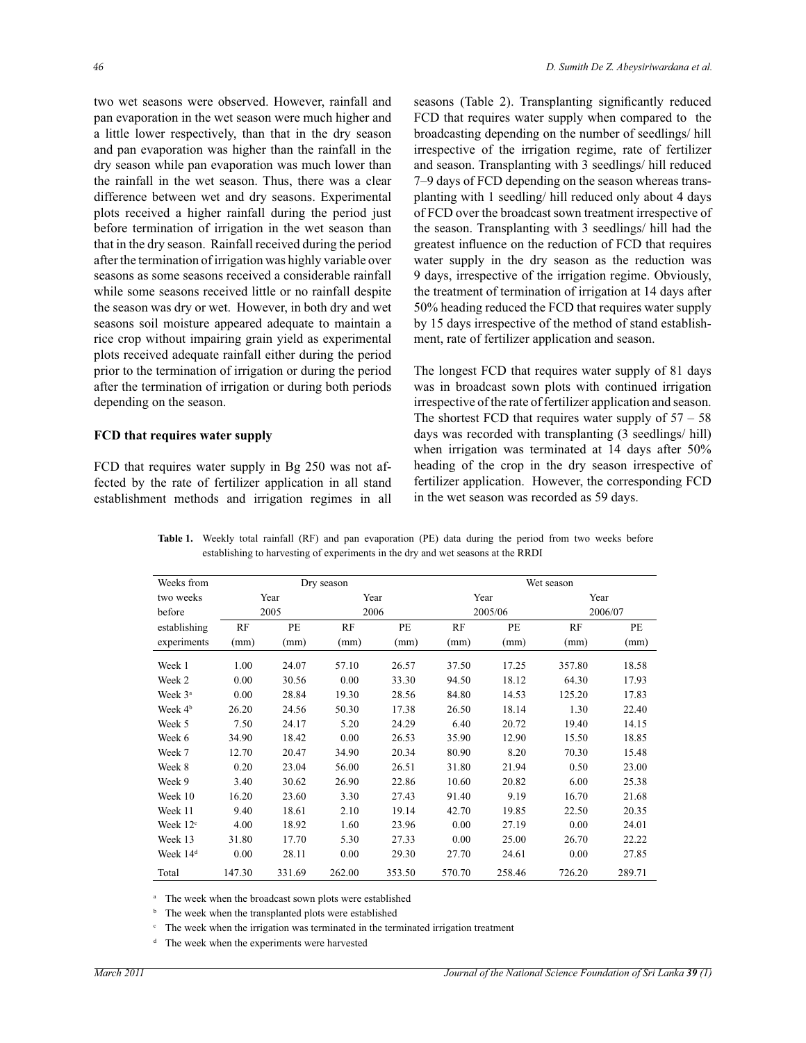two wet seasons were observed. However, rainfall and pan evaporation in the wet season were much higher and a little lower respectively, than that in the dry season and pan evaporation was higher than the rainfall in the dry season while pan evaporation was much lower than the rainfall in the wet season. Thus, there was a clear difference between wet and dry seasons. Experimental plots received a higher rainfall during the period just before termination of irrigation in the wet season than that in the dry season. Rainfall received during the period after the termination of irrigation was highly variable over seasons as some seasons received a considerable rainfall while some seasons received little or no rainfall despite the season was dry or wet. However, in both dry and wet seasons soil moisture appeared adequate to maintain a rice crop without impairing grain yield as experimental plots received adequate rainfall either during the period prior to the termination of irrigation or during the period after the termination of irrigation or during both periods depending on the season.

## **FCD that requires water supply**

FCD that requires water supply in Bg 250 was not affected by the rate of fertilizer application in all stand establishment methods and irrigation regimes in all seasons (Table 2). Transplanting significantly reduced FCD that requires water supply when compared to the broadcasting depending on the number of seedlings/ hill irrespective of the irrigation regime, rate of fertilizer and season. Transplanting with 3 seedlings/ hill reduced 7–9 days of FCD depending on the season whereas transplanting with 1 seedling/ hill reduced only about 4 days of FCD over the broadcast sown treatment irrespective of the season. Transplanting with 3 seedlings/ hill had the greatest influence on the reduction of FCD that requires water supply in the dry season as the reduction was 9 days, irrespective of the irrigation regime. Obviously, the treatment of termination of irrigation at 14 days after 50% heading reduced the FCD that requires water supply by 15 days irrespective of the method of stand establishment, rate of fertilizer application and season.

The longest FCD that requires water supply of 81 days was in broadcast sown plots with continued irrigation irrespective of the rate of fertilizer application and season. The shortest FCD that requires water supply of  $57 - 58$ days was recorded with transplanting (3 seedlings/ hill) when irrigation was terminated at 14 days after 50% heading of the crop in the dry season irrespective of fertilizer application. However, the corresponding FCD in the wet season was recorded as 59 days.

|                      |        |        |            |        |            | establishing to harvesting of experiments in the dry and wet seasons at the RRDI |         |           |  |  |  |  |
|----------------------|--------|--------|------------|--------|------------|----------------------------------------------------------------------------------|---------|-----------|--|--|--|--|
| Weeks from           |        |        | Dry season |        | Wet season |                                                                                  |         |           |  |  |  |  |
| two weeks            | Year   |        |            | Year   |            | Year                                                                             | Year    |           |  |  |  |  |
| before               | 2005   |        | 2006       |        |            | 2005/06                                                                          | 2006/07 |           |  |  |  |  |
| establishing         | RF     | PE     | RF         | PE     | RF         | <b>PE</b>                                                                        | RF      | <b>PE</b> |  |  |  |  |
| experiments          | (mm)   | (mm)   | (mm)       | (mm)   | (mm)       | (mm)                                                                             | (mm)    | (mm)      |  |  |  |  |
| Week 1               | 1.00   | 24.07  | 57.10      | 26.57  | 37.50      | 17.25                                                                            | 357.80  | 18.58     |  |  |  |  |
| Week 2               | 0.00   | 30.56  | 0.00       | 33.30  | 94.50      | 18.12                                                                            | 64.30   | 17.93     |  |  |  |  |
| Week 3 <sup>a</sup>  | 0.00   | 28.84  | 19.30      | 28.56  | 84.80      | 14.53                                                                            | 125.20  | 17.83     |  |  |  |  |
| Week 4 <sup>b</sup>  | 26.20  | 24.56  | 50.30      | 17.38  | 26.50      | 18.14                                                                            | 1.30    | 22.40     |  |  |  |  |
| Week 5               | 7.50   | 24.17  | 5.20       | 24.29  | 6.40       | 20.72                                                                            | 19.40   | 14.15     |  |  |  |  |
| Week 6               | 34.90  | 18.42  | 0.00       | 26.53  | 35.90      | 12.90                                                                            | 15.50   | 18.85     |  |  |  |  |
| Week 7               | 12.70  | 20.47  | 34.90      | 20.34  | 80.90      | 8.20                                                                             | 70.30   | 15.48     |  |  |  |  |
| Week 8               | 0.20   | 23.04  | 56.00      | 26.51  | 31.80      | 21.94                                                                            | 0.50    | 23.00     |  |  |  |  |
| Week 9               | 3.40   | 30.62  | 26.90      | 22.86  | 10.60      | 20.82                                                                            | 6.00    | 25.38     |  |  |  |  |
| Week 10              | 16.20  | 23.60  | 3.30       | 27.43  | 91.40      | 9.19                                                                             | 16.70   | 21.68     |  |  |  |  |
| Week 11              | 9.40   | 18.61  | 2.10       | 19.14  | 42.70      | 19.85                                                                            | 22.50   | 20.35     |  |  |  |  |
| Week $12c$           | 4.00   | 18.92  | 1.60       | 23.96  | 0.00       | 27.19                                                                            | 0.00    | 24.01     |  |  |  |  |
| Week 13              | 31.80  | 17.70  | 5.30       | 27.33  | 0.00       | 25.00                                                                            | 26.70   | 22.22     |  |  |  |  |
| Week 14 <sup>d</sup> | 0.00   | 28.11  | 0.00       | 29.30  | 27.70      | 24.61                                                                            | 0.00    | 27.85     |  |  |  |  |
| Total                | 147.30 | 331.69 | 262.00     | 353.50 | 570.70     | 258.46                                                                           | 726.20  | 289.71    |  |  |  |  |

**Table 1.** Weekly total rainfall (RF) and pan evaporation (PE) data during the period from two weeks before establishing to harvesting of experiments in the dry and wet seasons at the RRDI

<sup>a</sup> The week when the broadcast sown plots were established

<sup>b</sup> The week when the transplanted plots were established

<sup>c</sup> The week when the irrigation was terminated in the terminated irrigation treatment

<sup>d</sup> The week when the experiments were harvested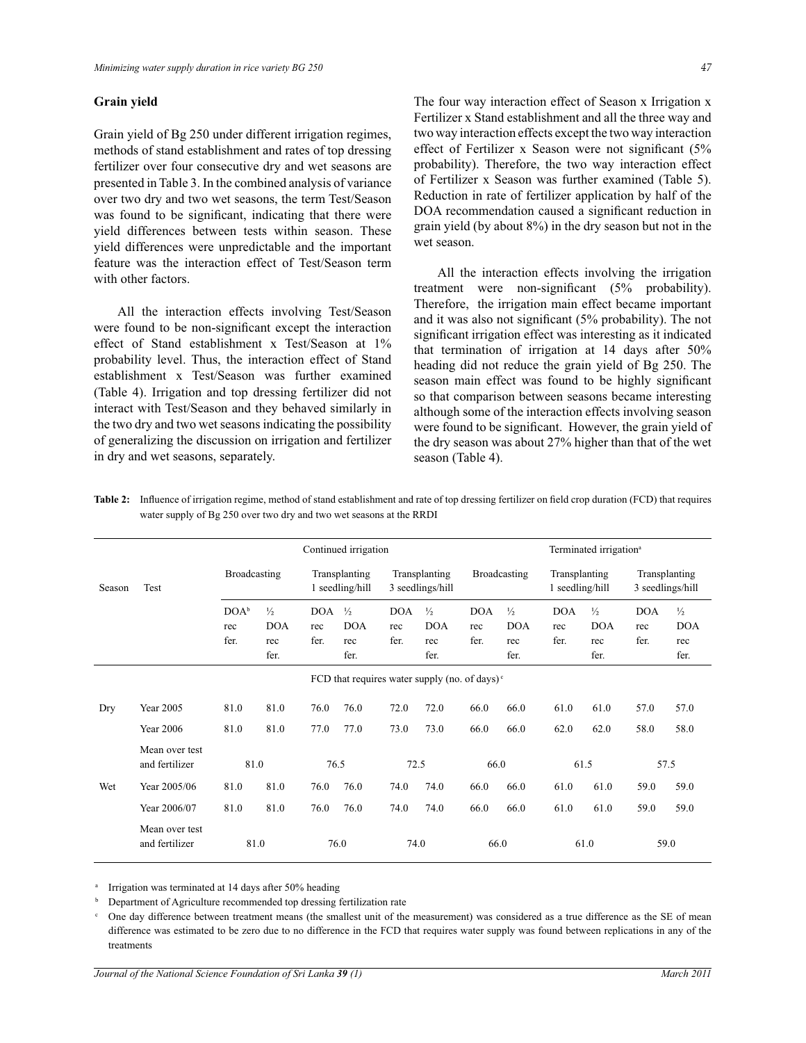## **Grain yield**

Grain yield of Bg 250 under different irrigation regimes, methods of stand establishment and rates of top dressing fertilizer over four consecutive dry and wet seasons are presented in Table 3. In the combined analysis of variance over two dry and two wet seasons, the term Test/Season was found to be significant, indicating that there were yield differences between tests within season. These yield differences were unpredictable and the important feature was the interaction effect of Test/Season term with other factors.

 All the interaction effects involving Test/Season were found to be non-significant except the interaction effect of Stand establishment x Test/Season at 1% probability level. Thus, the interaction effect of Stand establishment x Test/Season was further examined (Table 4). Irrigation and top dressing fertilizer did not interact with Test/Season and they behaved similarly in the two dry and two wet seasons indicating the possibility of generalizing the discussion on irrigation and fertilizer in dry and wet seasons, separately.

The four way interaction effect of Season x Irrigation x Fertilizer x Stand establishment and all the three way and two way interaction effects except the two way interaction effect of Fertilizer x Season were not significant (5% probability). Therefore, the two way interaction effect of Fertilizer x Season was further examined (Table 5). Reduction in rate of fertilizer application by half of the DOA recommendation caused a significant reduction in grain yield (by about 8%) in the dry season but not in the wet season.

 All the interaction effects involving the irrigation treatment were non-significant (5% probability). Therefore, the irrigation main effect became important and it was also not significant (5% probability). The not significant irrigation effect was interesting as it indicated that termination of irrigation at 14 days after 50% heading did not reduce the grain yield of Bg 250. The season main effect was found to be highly significant so that comparison between seasons became interesting although some of the interaction effects involving season were found to be significant. However, the grain yield of the dry season was about 27% higher than that of the wet season (Table 4).

|        |                                  | Continued irrigation            |                                            |                           |                                            |                           | Terminated irrigation <sup>a</sup>                   |                           |                                            |                                  |                                            |                           |                                            |
|--------|----------------------------------|---------------------------------|--------------------------------------------|---------------------------|--------------------------------------------|---------------------------|------------------------------------------------------|---------------------------|--------------------------------------------|----------------------------------|--------------------------------------------|---------------------------|--------------------------------------------|
| Season | <b>Test</b>                      | Broadcasting                    |                                            |                           | Transplanting<br>1 seedling/hill           |                           | Transplanting<br>3 seedlings/hill                    |                           | Broadcasting                               | Transplanting<br>1 seedling/hill |                                            |                           | Transplanting<br>3 seedlings/hill          |
|        |                                  | DOA <sup>b</sup><br>rec<br>fer. | $\frac{1}{2}$<br><b>DOA</b><br>rec<br>fer. | <b>DOA</b><br>rec<br>fer. | $\frac{1}{2}$<br><b>DOA</b><br>rec<br>fer. | <b>DOA</b><br>rec<br>fer. | $\frac{1}{2}$<br><b>DOA</b><br>rec<br>fer.           | <b>DOA</b><br>rec<br>fer. | $\frac{1}{2}$<br><b>DOA</b><br>rec<br>fer. | <b>DOA</b><br>rec<br>fer.        | $\frac{1}{2}$<br><b>DOA</b><br>rec<br>fer. | <b>DOA</b><br>rec<br>fer. | $\frac{1}{2}$<br><b>DOA</b><br>rec<br>fer. |
|        |                                  |                                 |                                            |                           |                                            |                           | FCD that requires water supply (no. of days) $\circ$ |                           |                                            |                                  |                                            |                           |                                            |
| Dry    | Year 2005                        | 81.0                            | 81.0                                       | 76.0                      | 76.0                                       | 72.0                      | 72.0                                                 | 66.0                      | 66.0                                       | 61.0                             | 61.0                                       | 57.0                      | 57.0                                       |
|        | <b>Year 2006</b>                 | 81.0                            | 81.0                                       | 77.0                      | 77.0                                       | 73.0                      | 73.0                                                 | 66.0                      | 66.0                                       | 62.0                             | 62.0                                       | 58.0                      | 58.0                                       |
|        | Mean over test<br>and fertilizer | 81.0                            |                                            | 76.5                      |                                            | 72.5                      |                                                      | 66.0                      |                                            |                                  | 61.5                                       |                           | 57.5                                       |
| Wet    | Year 2005/06                     | 81.0                            | 81.0                                       | 76.0                      | 76.0                                       | 74.0                      | 74.0                                                 | 66.0                      | 66.0                                       | 61.0                             | 61.0                                       | 59.0                      | 59.0                                       |
|        | Year 2006/07                     | 81.0                            | 81.0                                       | 76.0                      | 76.0                                       | 74.0                      | 74.0                                                 | 66.0                      | 66.0                                       | 61.0                             | 61.0                                       | 59.0                      | 59.0                                       |
|        | Mean over test<br>and fertilizer | 81.0                            |                                            |                           | 76.0                                       |                           | 74.0                                                 | 66.0                      |                                            |                                  | 61.0                                       |                           | 59.0                                       |

**Table 2:** Influence of irrigation regime, method of stand establishment and rate of top dressing fertilizer on field crop duration (FCD) that requires water supply of Bg 250 over two dry and two wet seasons at the RRDI

<sup>a</sup> Irrigation was terminated at 14 days after 50% heading

b Department of Agriculture recommended top dressing fertilization rate

c One day difference between treatment means (the smallest unit of the measurement) was considered as a true difference as the SE of mean difference was estimated to be zero due to no difference in the FCD that requires water supply was found between replications in any of the treatments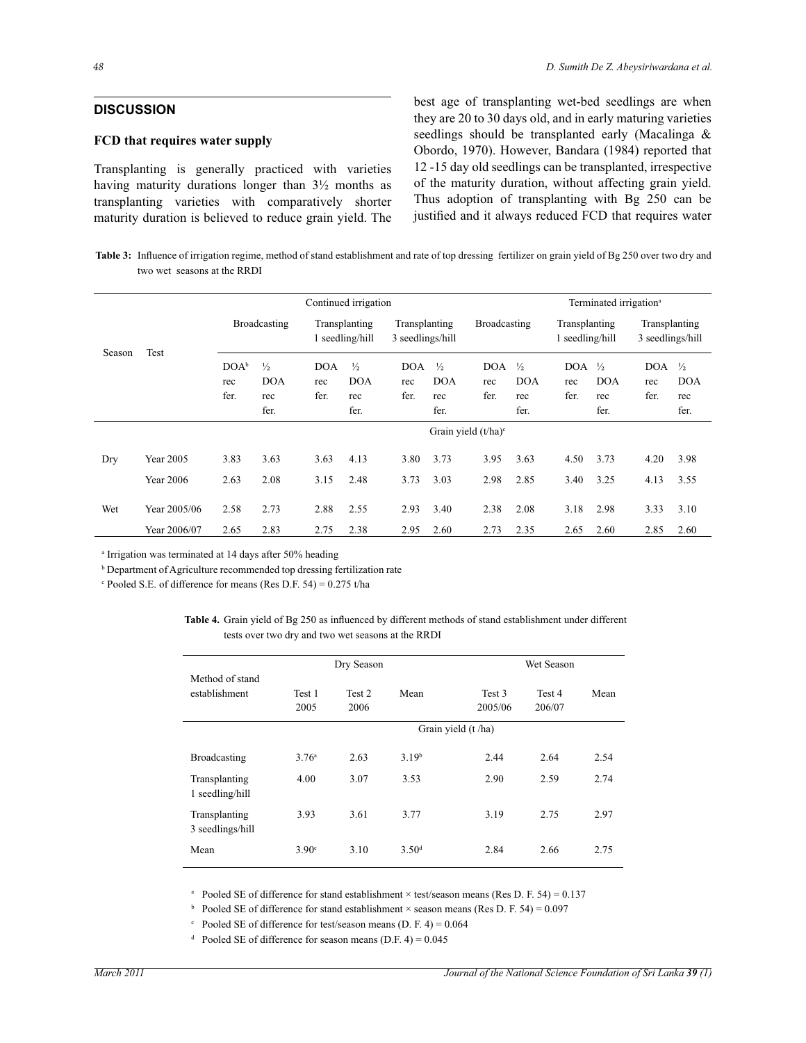# **DISCUSSION**

## **FCD that requires water supply**

Transplanting is generally practiced with varieties having maturity durations longer than 3½ months as transplanting varieties with comparatively shorter maturity duration is believed to reduce grain yield. The

*48 D. Sumith De Z. Abeysiriwardana et al.*

best age of transplanting wet-bed seedlings are when they are 20 to 30 days old, and in early maturing varieties seedlings should be transplanted early (Macalinga & Obordo, 1970). However, Bandara (1984) reported that 12 -15 day old seedlings can be transplanted, irrespective of the maturity duration, without affecting grain yield. Thus adoption of transplanting with Bg 250 can be justified and it always reduced FCD that requires water

Table 3: Influence of irrigation regime, method of stand establishment and rate of top dressing fertilizer on grain yield of Bg 250 over two dry and two wet seasons at the RRDI

|        |                                      |                                 |                                            |                                                                       | Continued irrigation                       |                           |                                            |                           |                                            |                           | Terminated irrigation <sup>a</sup>         |                           |                                            |
|--------|--------------------------------------|---------------------------------|--------------------------------------------|-----------------------------------------------------------------------|--------------------------------------------|---------------------------|--------------------------------------------|---------------------------|--------------------------------------------|---------------------------|--------------------------------------------|---------------------------|--------------------------------------------|
| Season | Test                                 | Broadcasting                    |                                            | Transplanting<br>Transplanting<br>1 seedling/hill<br>3 seedlings/hill |                                            |                           | <b>Broadcasting</b>                        |                           | Transplanting<br>1 seedling/hill           |                           | Transplanting<br>3 seedlings/hill          |                           |                                            |
|        |                                      | DOA <sup>b</sup><br>rec<br>fer. | $\frac{1}{2}$<br><b>DOA</b><br>rec<br>fer. | <b>DOA</b><br>rec<br>fer.                                             | $\frac{1}{2}$<br><b>DOA</b><br>rec<br>fer. | <b>DOA</b><br>rec<br>fer. | $\frac{1}{2}$<br><b>DOA</b><br>rec<br>fer. | <b>DOA</b><br>rec<br>fer. | $\frac{1}{2}$<br><b>DOA</b><br>rec<br>fer. | <b>DOA</b><br>rec<br>fer. | $\frac{1}{2}$<br><b>DOA</b><br>rec<br>fer. | <b>DOA</b><br>rec<br>fer. | $\frac{1}{2}$<br><b>DOA</b><br>rec<br>fer. |
|        |                                      |                                 |                                            |                                                                       |                                            |                           |                                            | Grain yield $(t/ha)^c$    |                                            |                           |                                            |                           |                                            |
| Dry    | <b>Year 2005</b><br><b>Year 2006</b> | 3.83<br>2.63                    | 3.63<br>2.08                               | 3.63<br>3.15                                                          | 4.13<br>2.48                               | 3.80<br>3.73              | 3.73<br>3.03                               | 3.95<br>2.98              | 3.63<br>2.85                               | 4.50<br>3.40              | 3.73<br>3.25                               | 4.20<br>4.13              | 3.98<br>3.55                               |
| Wet    | Year 2005/06<br>Year 2006/07         | 2.58<br>2.65                    | 2.73<br>2.83                               | 2.88<br>2.75                                                          | 2.55<br>2.38                               | 2.93<br>2.95              | 3.40<br>2.60                               | 2.38<br>2.73              | 2.08<br>2.35                               | 3.18<br>2.65              | 2.98<br>2.60                               | 3.33<br>2.85              | 3.10<br>2.60                               |

a Irrigation was terminated at 14 days after 50% heading

<sup>b</sup> Department of Agriculture recommended top dressing fertilization rate

Pooled S.E. of difference for means (Res D.F. 54) =  $0.275$  t/ha

**Table 4.** Grain yield of Bg 250 as influenced by different methods of stand establishment under different tests over two dry and two wet seasons at the RRDI

|                                   |                   | Dry Season     |                   |                     | Wet Season       |      |  |  |  |
|-----------------------------------|-------------------|----------------|-------------------|---------------------|------------------|------|--|--|--|
| Method of stand<br>establishment  | Test 1<br>2005    | Test 2<br>2006 | Mean              | Test 3<br>2005/06   | Test 4<br>206/07 | Mean |  |  |  |
|                                   |                   |                |                   | Grain yield (t /ha) |                  |      |  |  |  |
| <b>Broadcasting</b>               | 3.76 <sup>a</sup> | 2.63           | 3.19 <sup>b</sup> | 2.44                | 2.64             | 2.54 |  |  |  |
| Transplanting<br>1 seedling/hill  | 4.00              | 3.07           | 3.53              | 2.90                | 2.59             | 2.74 |  |  |  |
| Transplanting<br>3 seedlings/hill | 3.93              | 3.61           | 3.77              | 3.19                | 2.75             | 2.97 |  |  |  |
| Mean                              | 3.90°             | 3.10           | 3.50 <sup>d</sup> | 2.84                | 2.66             | 2.75 |  |  |  |

<sup>a</sup> Pooled SE of difference for stand establishment  $\times$  test/season means (Res D. F. 54) = 0.137

<sup>b</sup> Pooled SE of difference for stand establishment  $\times$  season means (Res D. F. 54) = 0.097

Pooled SE of difference for test/season means (D. F. 4) =  $0.064$ 

<sup>d</sup> Pooled SE of difference for season means (D.F. 4) =  $0.045$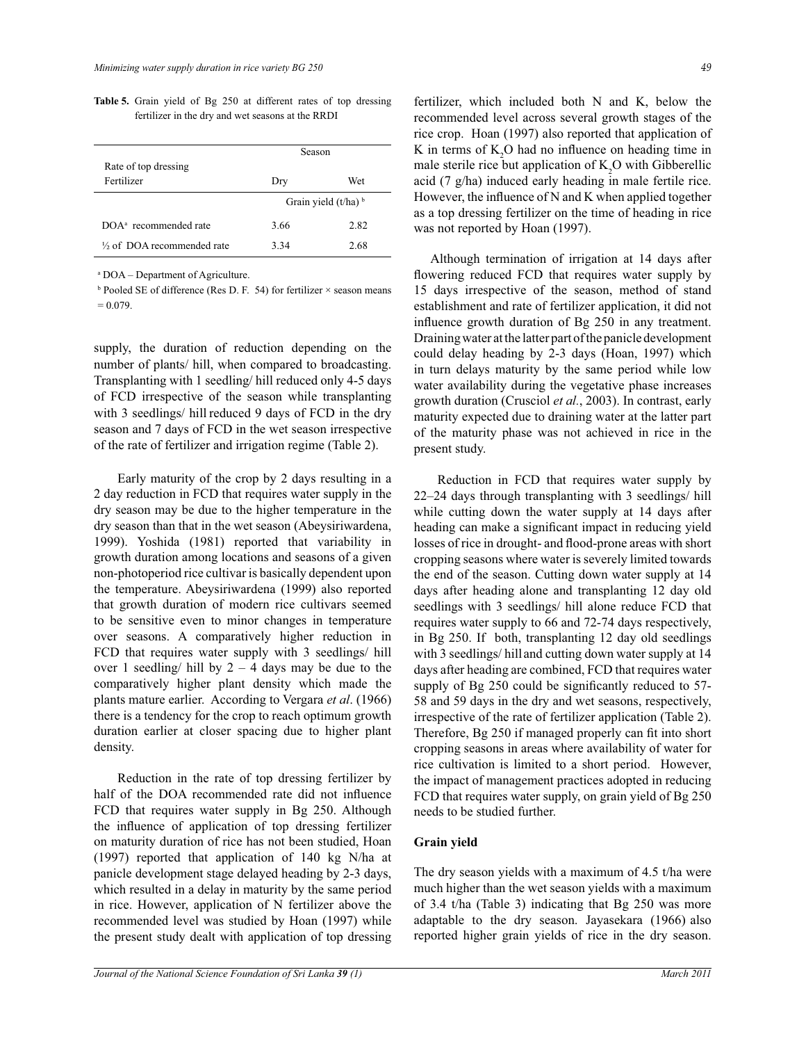|                                         | Season                            |      |  |  |  |
|-----------------------------------------|-----------------------------------|------|--|--|--|
| Rate of top dressing                    |                                   |      |  |  |  |
| Fertilizer                              | Dry                               | Wet  |  |  |  |
|                                         | Grain yield $(t/ha)$ <sup>b</sup> |      |  |  |  |
| DOA <sup>a</sup> recommended rate       | 3.66                              | 2.82 |  |  |  |
| 1/ <sub>2</sub> of DOA recommended rate | 3.34                              | 2.68 |  |  |  |

**Table 5.** Grain yield of Bg 250 at different rates of top dressing fertilizer in the dry and wet seasons at the RRDI

a DOA – Department of Agriculture.

 $b$  Pooled SE of difference (Res D. F. 54) for fertilizer  $\times$  season means  $= 0.079.$ 

supply, the duration of reduction depending on the number of plants/ hill, when compared to broadcasting. Transplanting with 1 seedling/ hill reduced only 4-5 days of FCD irrespective of the season while transplanting with 3 seedlings/ hill reduced 9 days of FCD in the dry season and 7 days of FCD in the wet season irrespective of the rate of fertilizer and irrigation regime (Table 2).

 Early maturity of the crop by 2 days resulting in a 2 day reduction in FCD that requires water supply in the dry season may be due to the higher temperature in the dry season than that in the wet season (Abeysiriwardena, 1999). Yoshida (1981) reported that variability in growth duration among locations and seasons of a given non-photoperiod rice cultivar is basically dependent upon the temperature. Abeysiriwardena (1999) also reported that growth duration of modern rice cultivars seemed to be sensitive even to minor changes in temperature over seasons. A comparatively higher reduction in FCD that requires water supply with 3 seedlings/ hill over 1 seedling/ hill by  $2 - 4$  days may be due to the comparatively higher plant density which made the plants mature earlier. According to Vergara *et al*. (1966) there is a tendency for the crop to reach optimum growth duration earlier at closer spacing due to higher plant density.

 Reduction in the rate of top dressing fertilizer by half of the DOA recommended rate did not influence FCD that requires water supply in Bg 250. Although the influence of application of top dressing fertilizer on maturity duration of rice has not been studied, Hoan (1997) reported that application of 140 kg N/ha at panicle development stage delayed heading by 2-3 days, which resulted in a delay in maturity by the same period in rice. However, application of N fertilizer above the recommended level was studied by Hoan (1997) while the present study dealt with application of top dressing fertilizer, which included both N and K, below the recommended level across several growth stages of the rice crop. Hoan (1997) also reported that application of K in terms of  $K<sub>2</sub>O$  had no influence on heading time in male sterile rice but application of  $K_2O$  with Gibberellic acid (7 g/ha) induced early heading in male fertile rice. However, the influence of N and K when applied together as a top dressing fertilizer on the time of heading in rice was not reported by Hoan (1997).

 Although termination of irrigation at 14 days after flowering reduced FCD that requires water supply by 15 days irrespective of the season, method of stand establishment and rate of fertilizer application, it did not influence growth duration of Bg 250 in any treatment. Draining water at the latter part of the panicle development could delay heading by 2-3 days (Hoan, 1997) which in turn delays maturity by the same period while low water availability during the vegetative phase increases growth duration (Crusciol *et al.*, 2003). In contrast, early maturity expected due to draining water at the latter part of the maturity phase was not achieved in rice in the present study.

 Reduction in FCD that requires water supply by 22–24 days through transplanting with 3 seedlings/ hill while cutting down the water supply at 14 days after heading can make a significant impact in reducing yield losses of rice in drought- and flood-prone areas with short cropping seasons where water is severely limited towards the end of the season. Cutting down water supply at 14 days after heading alone and transplanting 12 day old seedlings with 3 seedlings/ hill alone reduce FCD that requires water supply to 66 and 72-74 days respectively, in Bg 250. If both, transplanting 12 day old seedlings with 3 seedlings/ hill and cutting down water supply at 14 days after heading are combined, FCD that requires water supply of Bg 250 could be significantly reduced to 57- 58 and 59 days in the dry and wet seasons, respectively, irrespective of the rate of fertilizer application (Table 2). Therefore, Bg 250 if managed properly can fit into short cropping seasons in areas where availability of water for rice cultivation is limited to a short period. However, the impact of management practices adopted in reducing FCD that requires water supply, on grain yield of Bg 250 needs to be studied further.

#### **Grain yield**

The dry season yields with a maximum of 4.5 t/ha were much higher than the wet season yields with a maximum of 3.4 t/ha (Table 3) indicating that Bg 250 was more adaptable to the dry season. Jayasekara (1966) also reported higher grain yields of rice in the dry season.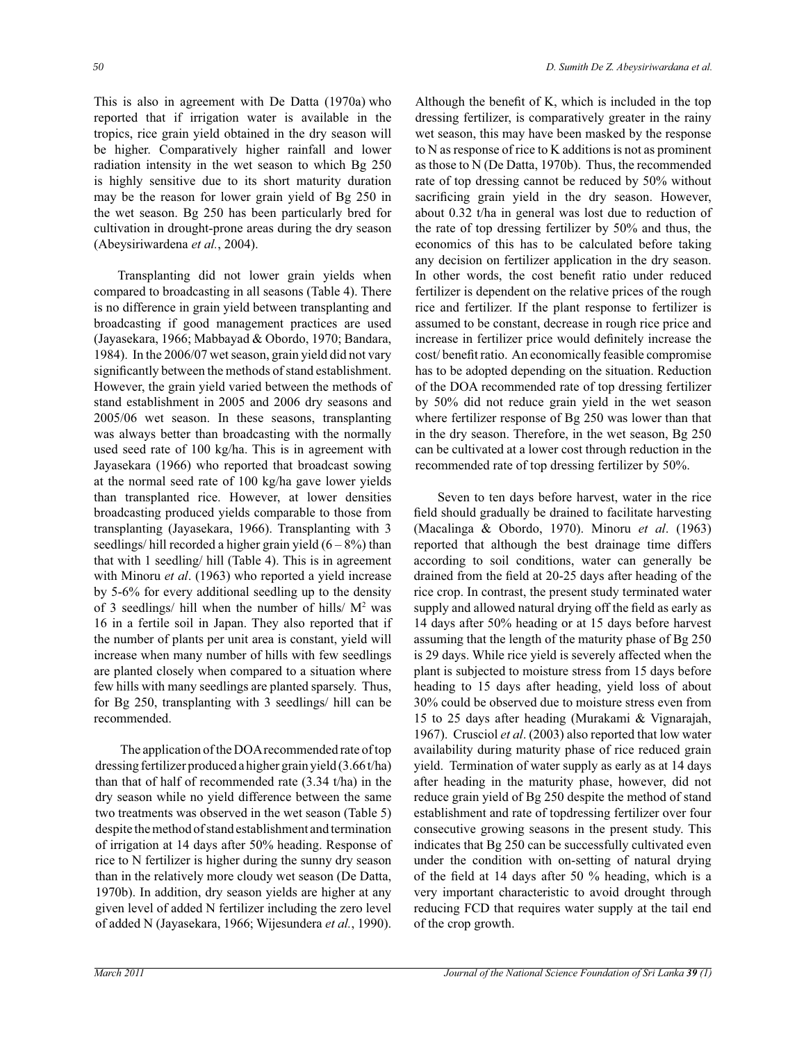This is also in agreement with De Datta (1970a) who reported that if irrigation water is available in the tropics, rice grain yield obtained in the dry season will be higher. Comparatively higher rainfall and lower radiation intensity in the wet season to which Bg 250 is highly sensitive due to its short maturity duration may be the reason for lower grain yield of Bg 250 in the wet season. Bg 250 has been particularly bred for cultivation in drought-prone areas during the dry season (Abeysiriwardena *et al.*, 2004).

 Transplanting did not lower grain yields when compared to broadcasting in all seasons (Table 4). There is no difference in grain yield between transplanting and broadcasting if good management practices are used (Jayasekara, 1966; Mabbayad & Obordo, 1970; Bandara, 1984). In the 2006/07 wet season, grain yield did not vary significantly between the methods of stand establishment. However, the grain yield varied between the methods of stand establishment in 2005 and 2006 dry seasons and 2005/06 wet season. In these seasons, transplanting was always better than broadcasting with the normally used seed rate of 100 kg/ha. This is in agreement with Jayasekara (1966) who reported that broadcast sowing at the normal seed rate of 100 kg/ha gave lower yields than transplanted rice. However, at lower densities broadcasting produced yields comparable to those from transplanting (Jayasekara, 1966). Transplanting with 3 seedlings/hill recorded a higher grain yield  $(6 - 8\%)$  than that with 1 seedling/ hill (Table 4). This is in agreement with Minoru *et al*. (1963) who reported a yield increase by 5-6% for every additional seedling up to the density of 3 seedlings/ hill when the number of hills/  $M^2$  was 16 in a fertile soil in Japan. They also reported that if the number of plants per unit area is constant, yield will increase when many number of hills with few seedlings are planted closely when compared to a situation where few hills with many seedlings are planted sparsely. Thus, for Bg 250, transplanting with 3 seedlings/ hill can be recommended.

 The application of the DOA recommended rate of top dressing fertilizer produced a higher grain yield (3.66 t/ha) than that of half of recommended rate (3.34 t/ha) in the dry season while no yield difference between the same two treatments was observed in the wet season (Table 5) despite the method of stand establishment and termination of irrigation at 14 days after 50% heading. Response of rice to N fertilizer is higher during the sunny dry season than in the relatively more cloudy wet season (De Datta, 1970b). In addition, dry season yields are higher at any given level of added N fertilizer including the zero level of added N (Jayasekara, 1966; Wijesundera *et al.*, 1990).

Although the benefit of K, which is included in the top dressing fertilizer, is comparatively greater in the rainy wet season, this may have been masked by the response to N as response of rice to K additions is not as prominent as those to N (De Datta, 1970b). Thus, the recommended rate of top dressing cannot be reduced by 50% without sacrificing grain yield in the dry season. However, about 0.32 t/ha in general was lost due to reduction of the rate of top dressing fertilizer by 50% and thus, the economics of this has to be calculated before taking any decision on fertilizer application in the dry season. In other words, the cost benefit ratio under reduced fertilizer is dependent on the relative prices of the rough rice and fertilizer. If the plant response to fertilizer is assumed to be constant, decrease in rough rice price and increase in fertilizer price would definitely increase the cost/ benefit ratio. An economically feasible compromise has to be adopted depending on the situation. Reduction of the DOA recommended rate of top dressing fertilizer by 50% did not reduce grain yield in the wet season where fertilizer response of Bg 250 was lower than that in the dry season. Therefore, in the wet season, Bg 250 can be cultivated at a lower cost through reduction in the recommended rate of top dressing fertilizer by 50%.

 Seven to ten days before harvest, water in the rice field should gradually be drained to facilitate harvesting (Macalinga & Obordo, 1970). Minoru *et al*. (1963) reported that although the best drainage time differs according to soil conditions, water can generally be drained from the field at 20-25 days after heading of the rice crop. In contrast, the present study terminated water supply and allowed natural drying off the field as early as 14 days after 50% heading or at 15 days before harvest assuming that the length of the maturity phase of Bg 250 is 29 days. While rice yield is severely affected when the plant is subjected to moisture stress from 15 days before heading to 15 days after heading, yield loss of about 30% could be observed due to moisture stress even from 15 to 25 days after heading (Murakami & Vignarajah, 1967). Crusciol *et al*. (2003) also reported that low water availability during maturity phase of rice reduced grain yield. Termination of water supply as early as at 14 days after heading in the maturity phase, however, did not reduce grain yield of Bg 250 despite the method of stand establishment and rate of topdressing fertilizer over four consecutive growing seasons in the present study. This indicates that Bg 250 can be successfully cultivated even under the condition with on-setting of natural drying of the field at 14 days after 50 % heading, which is a very important characteristic to avoid drought through reducing FCD that requires water supply at the tail end of the crop growth.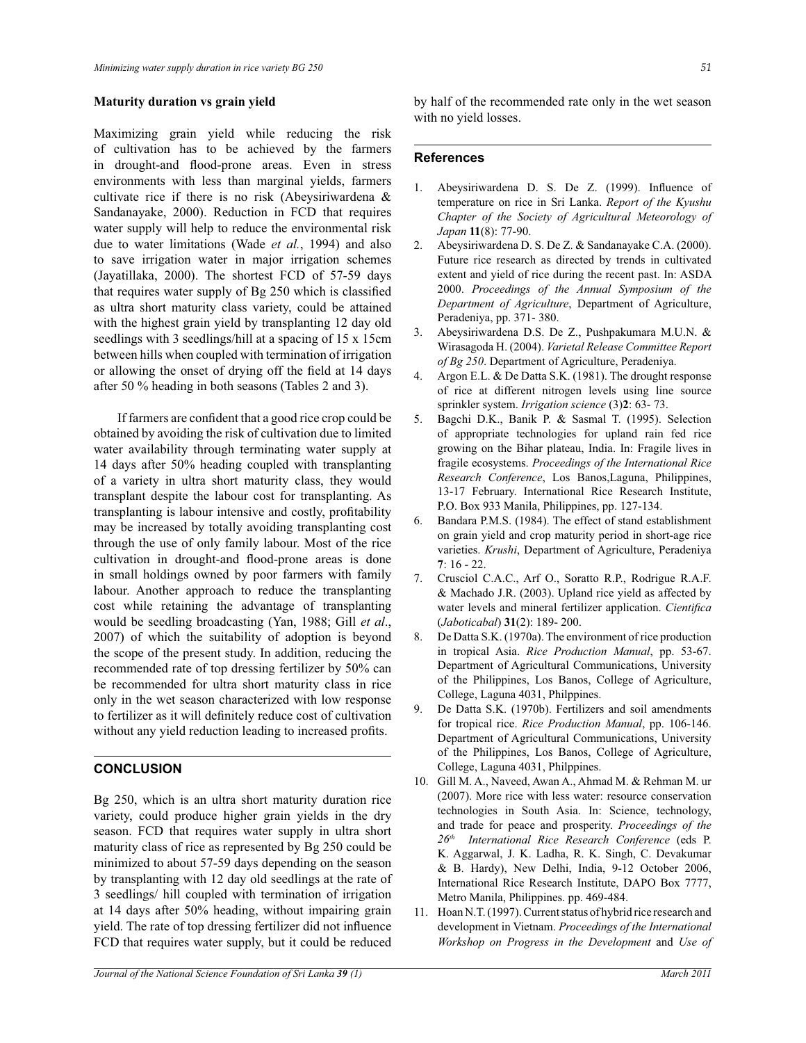#### **Maturity duration vs grain yield**

Maximizing grain yield while reducing the risk of cultivation has to be achieved by the farmers in drought-and flood-prone areas. Even in stress environments with less than marginal yields, farmers cultivate rice if there is no risk (Abeysiriwardena & Sandanayake, 2000). Reduction in FCD that requires water supply will help to reduce the environmental risk due to water limitations (Wade *et al.*, 1994) and also to save irrigation water in major irrigation schemes (Jayatillaka, 2000). The shortest FCD of 57-59 days that requires water supply of Bg 250 which is classified as ultra short maturity class variety, could be attained with the highest grain yield by transplanting 12 day old seedlings with 3 seedlings/hill at a spacing of 15 x 15cm between hills when coupled with termination of irrigation or allowing the onset of drying off the field at 14 days after 50 % heading in both seasons (Tables 2 and 3).

If farmers are confident that a good rice crop could be obtained by avoiding the risk of cultivation due to limited water availability through terminating water supply at 14 days after 50% heading coupled with transplanting of a variety in ultra short maturity class, they would transplant despite the labour cost for transplanting. As transplanting is labour intensive and costly, profitability may be increased by totally avoiding transplanting cost through the use of only family labour. Most of the rice cultivation in drought-and flood-prone areas is done in small holdings owned by poor farmers with family labour. Another approach to reduce the transplanting cost while retaining the advantage of transplanting would be seedling broadcasting (Yan, 1988; Gill *et al*., 2007) of which the suitability of adoption is beyond the scope of the present study. In addition, reducing the recommended rate of top dressing fertilizer by 50% can be recommended for ultra short maturity class in rice only in the wet season characterized with low response to fertilizer as it will definitely reduce cost of cultivation without any yield reduction leading to increased profits.

# **CONCLUSION**

Bg 250, which is an ultra short maturity duration rice variety, could produce higher grain yields in the dry season. FCD that requires water supply in ultra short maturity class of rice as represented by Bg 250 could be minimized to about 57-59 days depending on the season by transplanting with 12 day old seedlings at the rate of 3 seedlings/ hill coupled with termination of irrigation at 14 days after 50% heading, without impairing grain yield. The rate of top dressing fertilizer did not influence FCD that requires water supply, but it could be reduced

by half of the recommended rate only in the wet season with no yield losses.

#### **References**

- 1. Abeysiriwardena D. S. De Z. (1999). Influence of temperature on rice in Sri Lanka. *Report of the Kyushu Chapter of the Society of Agricultural Meteorology of Japan* **11**(8): 77-90.
- 2. Abeysiriwardena D. S. De Z. & Sandanayake C.A. (2000). Future rice research as directed by trends in cultivated extent and yield of rice during the recent past. In: ASDA 2000. *Proceedings of the Annual Symposium of the Department of Agriculture*, Department of Agriculture, Peradeniya, pp. 371- 380.
- 3. Abeysiriwardena D.S. De Z., Pushpakumara M.U.N. & Wirasagoda H. (2004). *Varietal Release Committee Report of Bg 250*. Department of Agriculture, Peradeniya.
- 4. Argon E.L. & De Datta S.K. (1981). The drought response of rice at different nitrogen levels using line source sprinkler system. *Irrigation science* (3)**2**: 63- 73.
- 5. Bagchi D.K., Banik P. & Sasmal T. (1995). Selection of appropriate technologies for upland rain fed rice growing on the Bihar plateau, India. In: Fragile lives in fragile ecosystems. *Proceedings of the International Rice Research Conference*, Los Banos,Laguna, Philippines, 13-17 February. International Rice Research Institute, P.O. Box 933 Manila, Philippines, pp. 127-134.
- 6. Bandara P.M.S. (1984). The effect of stand establishment on grain yield and crop maturity period in short-age rice varieties. *Krushi*, Department of Agriculture, Peradeniya **7**: 16 - 22.
- 7. Crusciol C.A.C., Arf O., Soratto R.P., Rodrigue R.A.F. & Machado J.R. (2003). Upland rice yield as affected by water levels and mineral fertilizer application. *Cientifica* (*Jaboticabal*) **31**(2): 189- 200.
- 8. De Datta S.K. (1970a). The environment of rice production in tropical Asia. *Rice Production Manual*, pp. 53-67. Department of Agricultural Communications, University of the Philippines, Los Banos, College of Agriculture, College, Laguna 4031, Philppines.
- 9. De Datta S.K. (1970b). Fertilizers and soil amendments for tropical rice. *Rice Production Manual*, pp. 106-146. Department of Agricultural Communications, University of the Philippines, Los Banos, College of Agriculture, College, Laguna 4031, Philppines.
- 10. Gill M. A., Naveed, Awan A., Ahmad M. & Rehman M. ur (2007). More rice with less water: resource conservation technologies in South Asia. In: Science, technology, and trade for peace and prosperity. *Proceedings of the 26th International Rice Research Conference* (eds P. K. Aggarwal, J. K. Ladha, R. K. Singh, C. Devakumar & B. Hardy), New Delhi, India, 9-12 October 2006, International Rice Research Institute, DAPO Box 7777, Metro Manila, Philippines. pp. 469-484.
- 11. Hoan N.T. (1997). Current status of hybrid rice research and development in Vietnam. *Proceedings of the International Workshop on Progress in the Development* and *Use of*